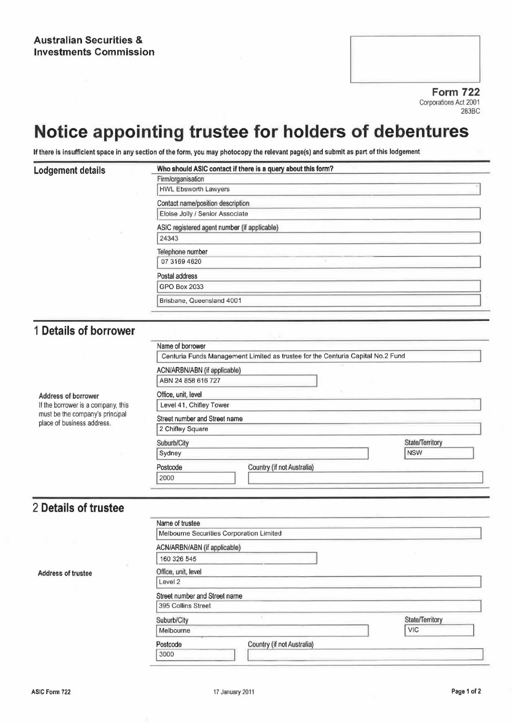Form 722 Corporations Act 2001 283BC

# Notice appointing trustee for holders of debentures

If there is insufficient space in any section of the form, you may photocopy the relevant page(s) and submit as part of this lodgement

#### Lodgement details Who should ASIC contact if there is a query about this form?

|  | Firm/organisation                            |
|--|----------------------------------------------|
|  | <b>HWL Ebsworth Lawyers</b>                  |
|  | Contact name/position description            |
|  | Eloise Jolly / Senior Associate              |
|  | ASIC registered agent number (if applicable) |
|  | 24343                                        |
|  | Telephone number                             |
|  | 07 3169 4620                                 |
|  | Postal address                               |
|  | <b>GPO Box 2033</b>                          |
|  | Brisbane, Queensland 4001                    |
|  |                                              |

### <sup>1</sup> Details of borrower

|                                                               | Name of borrower                                                                |                 |  |  |  |
|---------------------------------------------------------------|---------------------------------------------------------------------------------|-----------------|--|--|--|
|                                                               | Centuria Funds Management Limited as trustee for the Centuria Capital No.2 Fund |                 |  |  |  |
|                                                               | ACN/ARBN/ABN (if applicable)                                                    |                 |  |  |  |
|                                                               | ABN 24 858 616 727                                                              |                 |  |  |  |
| Address of borrower                                           | Office, unit, level                                                             |                 |  |  |  |
| If the borrower is a company, this                            | Level 41, Chifley Tower                                                         |                 |  |  |  |
| must be the company's principal<br>place of business address. | Street number and Street name                                                   |                 |  |  |  |
|                                                               | 2 Chifley Square                                                                |                 |  |  |  |
|                                                               | Suburb/City                                                                     | State/Territory |  |  |  |
|                                                               | Sydney                                                                          | <b>NSW</b>      |  |  |  |
|                                                               | Country (if not Australia)<br>Postcode                                          |                 |  |  |  |
|                                                               | 2000                                                                            |                 |  |  |  |

## 2 Details of trustee

| Name of trustee               |                                          |                 |
|-------------------------------|------------------------------------------|-----------------|
|                               | Melbourne Securities Corporation Limited |                 |
| ACN/ARBN/ABN (if applicable)  |                                          |                 |
| 160 326 545                   |                                          |                 |
| Office, unit, level           |                                          |                 |
| Level 2                       |                                          |                 |
| Street number and Street name |                                          |                 |
| 395 Collins Street            |                                          |                 |
| Suburb/City                   |                                          | State/Territory |
| Melbourne                     |                                          | <b>VIC</b>      |
| Postcode                      | Country (if not Australia)               |                 |
| 3000                          |                                          |                 |

Address of trustee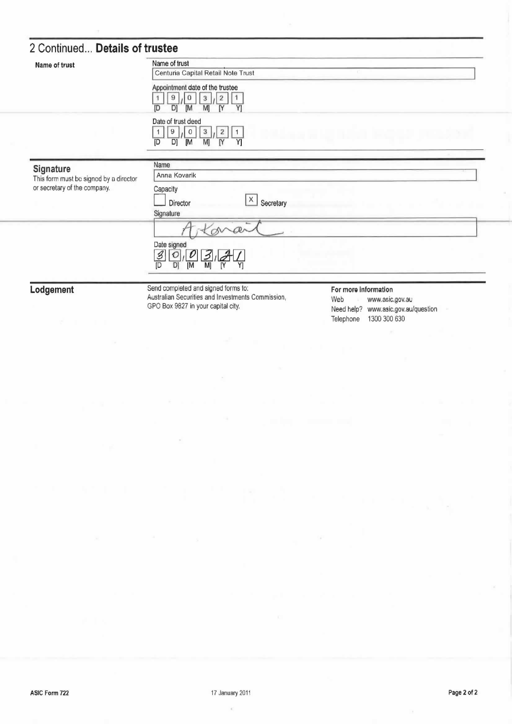# 2 Continued... Details of trustee

| Name of trust                                       | Name of trust<br>Centuria Capital Retail Note Trust                                                                |                      |  |
|-----------------------------------------------------|--------------------------------------------------------------------------------------------------------------------|----------------------|--|
|                                                     | Appointment date of the trustee<br>$\overline{2}$<br>9<br>0<br>3<br>[M<br>M]<br>IY<br>Y]<br>ID<br>DI               |                      |  |
|                                                     | Date of trust deed<br>9<br>3<br>$\sqrt{2}$<br>1<br>0<br>1<br>$\overline{\mathsf{N}}$<br>M)<br>Y]<br>[M<br>[D<br>D] |                      |  |
| Signature<br>This form must be signed by a director | Name<br>Anna Kovarik                                                                                               |                      |  |
| or secretary of the company.                        | Capacity<br>$\mathsf X$<br>Secretary<br>Director                                                                   |                      |  |
|                                                     | Signature                                                                                                          |                      |  |
|                                                     | Date signed<br>$\mathscr{Z}$<br>੭<br>M<br>[M<br>D<br>D)<br>N<br>Y1                                                 |                      |  |
| Lodgement                                           | Send completed and signed forms to:                                                                                | For more information |  |

Australian Securities and Investments Commission, GPO Box 9827 in your capital city.

Web www.asic.gov.au Need help? www.asic.gov.au/question Telephone 1300 300 630